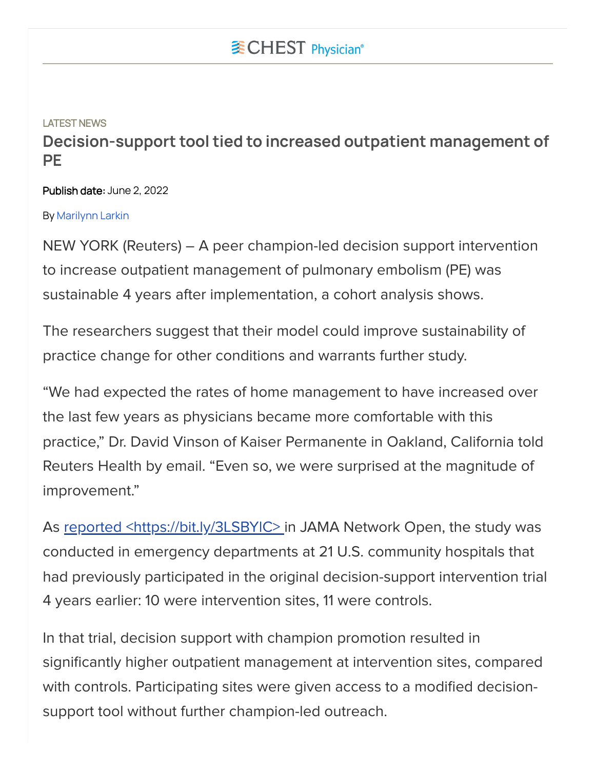## LATEST NEWS **Decision-support tool tied to increased outpatient management of PE**

Publish date: June 2, 2022

## By [Marilynn](https://www.mdedge.com/authors/marilynn-larkin) Larkin

NEW YORK (Reuters) – A peer champion-led decision support intervention to increase outpatient management of pulmonary embolism (PE) was sustainable 4 years after implementation, a cohort analysis shows.

The researchers suggest that their model could improve sustainability of practice change for other conditions and warrants further study.

"We had expected the rates of home management to have increased over the last few years as physicians became more comfortable with this practice," Dr. David Vinson of Kaiser Permanente in Oakland, California told Reuters Health by email. "Even so, we were surprised at the magnitude of improvement."

As reported <https://bit.ly/3LSBYIC> in JAMA Network Open, the study was conducted in emergency departments at 21 U.S. community hospitals that had previously participated in the original decision-support intervention trial 4 years earlier: 10 were intervention sites, 11 were controls.

In that trial, decision support with champion promotion resulted in significantly higher outpatient management at intervention sites, compared with controls. Participating sites were given access to a modified decisionsupport tool without further champion-led outreach.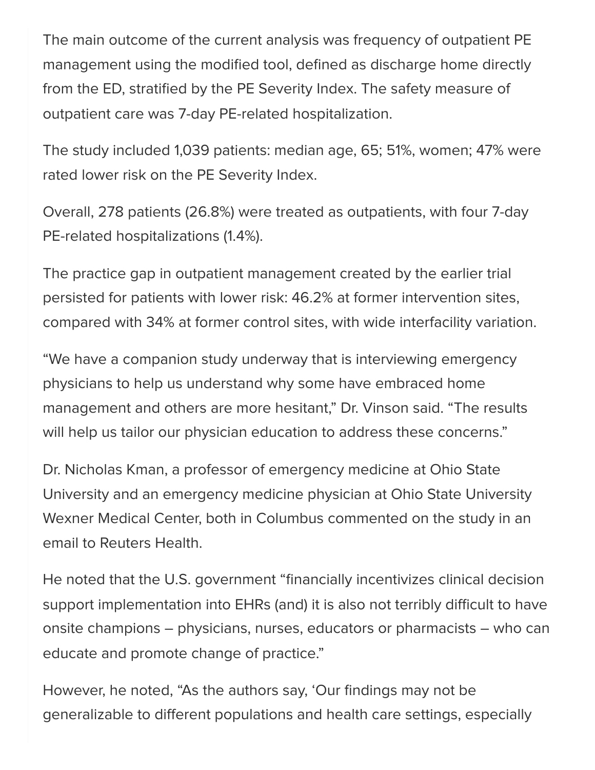The main outcome of the current analysis was frequency of outpatient PE management using the modified tool, defined as discharge home directly from the ED, stratified by the PE Severity Index. The safety measure of outpatient care was 7-day PE-related hospitalization.

The study included 1,039 patients: median age, 65; 51%, women; 47% were rated lower risk on the PE Severity Index.

Overall, 278 patients (26.8%) were treated as outpatients, with four 7-day PE-related hospitalizations (1.4%).

The practice gap in outpatient management created by the earlier trial persisted for patients with lower risk: 46.2% at former intervention sites, compared with 34% at former control sites, with wide interfacility variation.

"We have a companion study underway that is interviewing emergency physicians to help us understand why some have embraced home management and others are more hesitant," Dr. Vinson said. "The results will help us tailor our physician education to address these concerns."

Dr. Nicholas Kman, a professor of emergency medicine at Ohio State University and an emergency medicine physician at Ohio State University Wexner Medical Center, both in Columbus commented on the study in an email to Reuters Health.

He noted that the U.S. government "financially incentivizes clinical decision support implementation into EHRs (and) it is also not terribly difficult to have onsite champions – physicians, nurses, educators or pharmacists – who can educate and promote change of practice."

However, he noted, "As the authors say, 'Our findings may not be generalizable to different populations and health care settings, especially